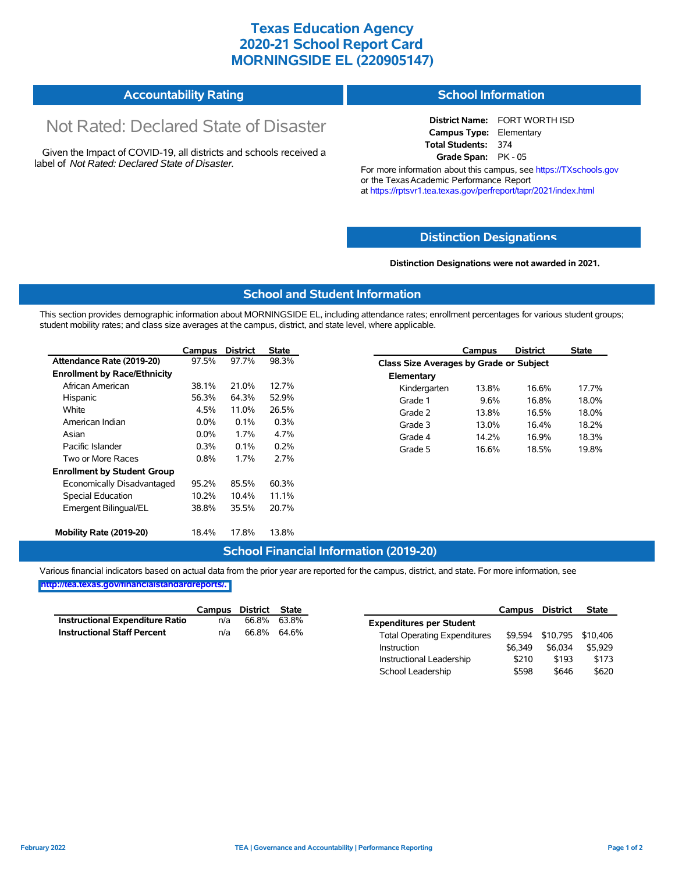## **Texas Education Agency 2020-21 School Report Card MORNINGSIDE EL (220905147)**

| <b>Accountability Rating</b><br><b>School Information</b> |
|-----------------------------------------------------------|
|-----------------------------------------------------------|

# Not Rated: Declared State of Disaster

Given the Impact of COVID-19, all districts and schools received a label of *Not Rated: Declared State of Disaster.*

**District Name:** FORT WORTH ISD **Campus Type:** Elementary **Total Students:** 374 **Grade Span:** PK - 05

For more information about this campus, see https://TXschools.gov or the Texas Academic Performance Report at https://rptsvr1.tea.texas.gov/perfreport/tapr/2021/index.html

### **Distinction Designat[ions](https://TXschools.gov)**

**Distinction Designations were not awarded in 2021.**

School Leadership  $$598$  \$646 \$620

#### **School and Student Information**

This section provides demographic information about MORNINGSIDE EL, including attendance rates; enrollment percentages for various student groups; student mobility rates; and class size averages at the campus, district, and state level, where applicable.

|                                     | Campus  | <b>District</b> | <b>State</b> | <b>District</b><br>Campus               | <b>State</b> |
|-------------------------------------|---------|-----------------|--------------|-----------------------------------------|--------------|
| Attendance Rate (2019-20)           | 97.5%   | 97.7%           | 98.3%        | Class Size Averages by Grade or Subject |              |
| <b>Enrollment by Race/Ethnicity</b> |         |                 |              | Elementary                              |              |
| African American                    | 38.1%   | 21.0%           | 12.7%        | 16.6%<br>Kindergarten<br>13.8%          | 17.7%        |
| Hispanic                            | 56.3%   | 64.3%           | 52.9%        | 9.6%<br>16.8%<br>Grade 1                | 18.0%        |
| White                               | 4.5%    | 11.0%           | 26.5%        | Grade 2<br>16.5%<br>13.8%               | 18.0%        |
| American Indian                     | 0.0%    | 0.1%            | 0.3%         | Grade 3<br>13.0%<br>16.4%               | 18.2%        |
| Asian                               | $0.0\%$ | 1.7%            | 4.7%         | Grade 4<br>14.2%<br>16.9%               | 18.3%        |
| Pacific Islander                    | 0.3%    | 0.1%            | 0.2%         | 16.6%<br>Grade 5<br>18.5%               | 19.8%        |
| Two or More Races                   | 0.8%    | 1.7%            | 2.7%         |                                         |              |
| <b>Enrollment by Student Group</b>  |         |                 |              |                                         |              |
| Economically Disadvantaged          | 95.2%   | 85.5%           | 60.3%        |                                         |              |
| Special Education                   | 10.2%   | 10.4%           | 11.1%        |                                         |              |
| Emergent Bilingual/EL               | 38.8%   | 35.5%           | 20.7%        |                                         |              |
|                                     |         |                 |              |                                         |              |
| Mobility Rate (2019-20)             | 18.4%   | 17.8%           | 13.8%        |                                         |              |

#### **School Financial Information (2019-20)**

Various financial indicators based on actual data from the prior year are reported for the campus, district, and state. For more information, see

**[http://tea.texas.gov/financialstandardreports/.](http://tea.texas.gov/financialstandardreports/)**

|                                        | Campus | District | State |                                     | Campus  | <b>District</b>           | <b>State</b> |
|----------------------------------------|--------|----------|-------|-------------------------------------|---------|---------------------------|--------------|
| <b>Instructional Expenditure Ratio</b> | n/a    | 66.8%    | 63.8% | <b>Expenditures per Student</b>     |         |                           |              |
| <b>Instructional Staff Percent</b>     | n/a    | 66.8%    | 64.6% | <b>Total Operating Expenditures</b> |         | \$9,594 \$10,795 \$10,406 |              |
|                                        |        |          |       | Instruction                         | \$6.349 | \$6.034                   | \$5.929      |
|                                        |        |          |       | Instructional Leadership            | \$210   | \$193                     | \$173        |